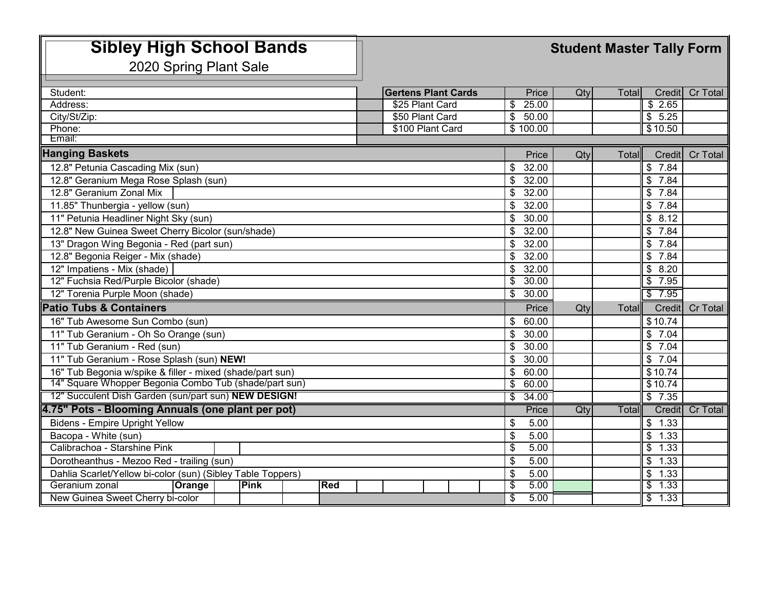## **Sibley High School Bands**

## **Student Master Tally Form**

2020 Spring Plant Sale

| Student:                                                    | <b>Gertens Plant Cards</b> | Price                              | Qtv    | Total |                                 | Credit Cr Total |
|-------------------------------------------------------------|----------------------------|------------------------------------|--------|-------|---------------------------------|-----------------|
| Address:                                                    | \$25 Plant Card            | 25.00<br>$\boldsymbol{\mathsf{s}}$ |        |       | \$2.65                          |                 |
| City/St/Zip:                                                | \$50 Plant Card            | \$<br>50.00                        |        |       | \$5.25                          |                 |
| Phone:                                                      | \$100 Plant Card           | \$100.00                           |        |       | \$10.50                         |                 |
| Email:                                                      |                            |                                    |        |       |                                 |                 |
| <b>Hanging Baskets</b>                                      |                            | Price                              | Qty    | Total | Credit                          | Cr Total        |
| 12.8" Petunia Cascading Mix (sun)                           |                            | 32.00<br>\$                        |        |       | \$7.84                          |                 |
| 12.8" Geranium Mega Rose Splash (sun)                       |                            | \$<br>32.00                        |        |       | \$7.84                          |                 |
| 12.8" Geranium Zonal Mix                                    |                            | \$<br>32.00                        |        |       | \$7.84                          |                 |
| 11.85" Thunbergia - yellow (sun)                            |                            | \$<br>32.00                        |        |       | \$<br>7.84                      |                 |
| 11" Petunia Headliner Night Sky (sun)                       |                            | \$<br>30.00                        |        |       | \$8.12                          |                 |
| 12.8" New Guinea Sweet Cherry Bicolor (sun/shade)           |                            | 32.00<br>\$                        |        |       | 7.84<br>\$                      |                 |
| 13" Dragon Wing Begonia - Red (part sun)                    |                            | $\mathfrak{S}$<br>32.00            |        |       | \$7.84                          |                 |
| 12.8" Begonia Reiger - Mix (shade)                          |                            | 32.00<br>\$                        |        |       | \$7.84                          |                 |
| 12" Impatiens - Mix (shade)                                 |                            | \$<br>32.00                        |        |       | \$8.20                          |                 |
| 12" Fuchsia Red/Purple Bicolor (shade)                      |                            | 30.00<br>\$                        |        |       | \$7.95                          |                 |
| 12" Torenia Purple Moon (shade)                             |                            | $\boldsymbol{\mathsf{s}}$<br>30.00 |        |       | \$7.95                          |                 |
| <b>Patio Tubs &amp; Containers</b>                          |                            | Price                              | $Q$ ty | Total | Credit                          | Cr Total        |
| 16" Tub Awesome Sun Combo (sun)                             |                            | \$<br>60.00                        |        |       | \$10.74                         |                 |
| 11" Tub Geranium - Oh So Orange (sun)                       |                            | \$<br>30.00                        |        |       | \$7.04                          |                 |
| 11" Tub Geranium - Red (sun)                                |                            | \$<br>30.00                        |        |       | \$7.04                          |                 |
| 11" Tub Geranium - Rose Splash (sun) NEW!                   |                            | \$<br>30.00                        |        |       | \$7.04                          |                 |
| 16" Tub Begonia w/spike & filler - mixed (shade/part sun)   |                            | 60.00<br>\$                        |        |       | \$10.74                         |                 |
| 14" Square Whopper Begonia Combo Tub (shade/part sun)       |                            | 60.00<br>\$                        |        |       | \$10.74                         |                 |
| 12" Succulent Dish Garden (sun/part sun) NEW DESIGN!        |                            | 34.00<br>$\overline{\$}$           |        |       | \$7.35                          |                 |
| 4.75" Pots - Blooming Annuals (one plant per pot)           |                            | Price                              | Qtv    | Total |                                 | Credit Cr Total |
| <b>Bidens - Empire Upright Yellow</b>                       |                            | 5.00<br>\$                         |        |       | $\mathbb{S}$<br>1.33            |                 |
| Bacopa - White (sun)                                        |                            | $\mathbf{\$}$<br>5.00              |        |       | $\mathbb{S}$<br>1.33            |                 |
| Calibrachoa - Starshine Pink                                |                            | \$<br>5.00                         |        |       | $\overline{\$}$ 1.33            |                 |
| Dorotheanthus - Mezoo Red - trailing (sun)                  |                            | \$<br>5.00                         |        |       | \$1.33                          |                 |
| Dahlia Scarlet/Yellow bi-color (sun) (Sibley Table Toppers) |                            | \$<br>5.00                         |        |       | $\overline{\$}$<br>1.33         |                 |
| Orange<br><b>Pink</b><br>Red<br>Geranium zonal              |                            | 5.00<br>\$                         |        |       | $\sqrt[6]{\frac{2}{5}}$<br>1.33 |                 |
| New Guinea Sweet Cherry bi-color                            |                            | $\overline{\mathcal{S}}$<br>5.00   |        |       | \$1.33                          |                 |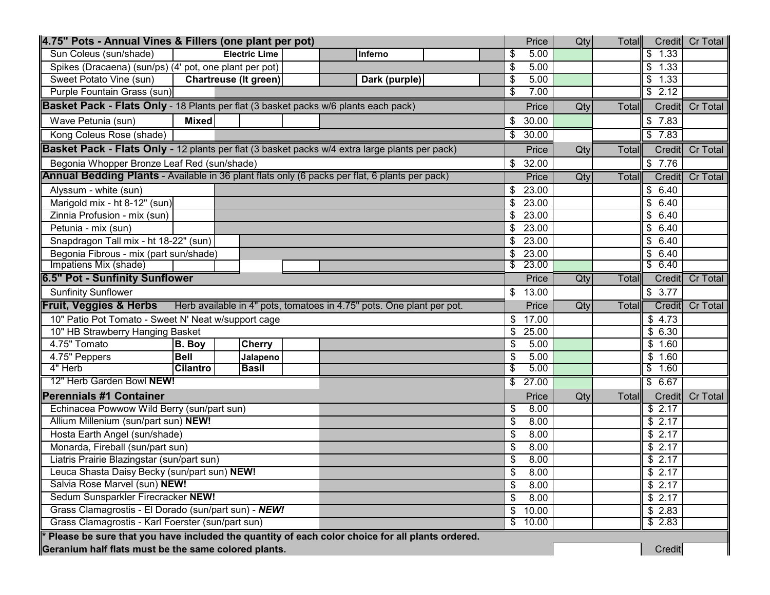| 4.75" Pots - Annual Vines & Fillers (one plant per pot)                                                    |             | Qty | Total        | Credit Cr Total    |
|------------------------------------------------------------------------------------------------------------|-------------|-----|--------------|--------------------|
| Sun Coleus (sun/shade)<br><b>Electric Lime</b><br>Inferno                                                  | 5.00<br>\$  |     |              | \$1.33             |
| Spikes (Dracaena) (sun/ps) (4' pot, one plant per pot)                                                     | \$<br>5.00  |     |              | \$1.33             |
| Sweet Potato Vine (sun)<br><b>Chartreuse (It green)</b><br>Dark (purple)                                   | \$<br>5.00  |     |              | \$<br>1.33         |
| Purple Fountain Grass (sun)                                                                                | \$<br>7.00  |     |              | \$2.12             |
| Basket Pack - Flats Only - 18 Plants per flat (3 basket packs w/6 plants each pack)                        | Price       | Qty | Total        | Credit Cr Total    |
| <b>Mixed</b><br>Wave Petunia (sun)                                                                         | \$<br>30.00 |     |              | \$7.83             |
| Kong Coleus Rose (shade)                                                                                   | 30.00<br>\$ |     |              | \$7.83             |
| Basket Pack - Flats Only - 12 plants per flat (3 basket packs w/4 extra large plants per pack)             | Price       | Qty | Total        | Credit<br>Cr Total |
| Begonia Whopper Bronze Leaf Red (sun/shade)                                                                | 32.00<br>\$ |     |              | \$7.76             |
| Annual Bedding Plants - Available in 36 plant flats only (6 packs per flat, 6 plants per pack)             | Price       | Qty | Total        | Credit Cr Total    |
| Alyssum - white (sun)                                                                                      | 23.00<br>\$ |     |              | \$6.40             |
| Marigold mix - ht 8-12" (sun)                                                                              | \$<br>23.00 |     |              | \$6.40             |
| Zinnia Profusion - mix (sun)                                                                               | 23.00<br>\$ |     |              | \$6.40             |
| Petunia - mix (sun)                                                                                        | 23.00<br>\$ |     |              | \$6.40             |
| Snapdragon Tall mix - ht 18-22" (sun)                                                                      | 23.00<br>\$ |     |              | \$6.40             |
| Begonia Fibrous - mix (part sun/shade)                                                                     | 23.00<br>\$ |     |              | \$6.40             |
| Impatiens Mix (shade)                                                                                      | 23.00<br>\$ |     |              | \$6.40             |
| 6.5" Pot - Sunfinity Sunflower                                                                             | Price       | Qty | <b>Total</b> | Credit Cr Total    |
| <b>Sunfinity Sunflower</b>                                                                                 | 13.00<br>\$ |     |              | \$3.77             |
| <b>Fruit, Veggies &amp; Herbs</b><br>Herb available in 4" pots, tomatoes in 4.75" pots. One plant per pot. | Price       | Qty | Total        | Credit Cr Total    |
| 10" Patio Pot Tomato - Sweet N' Neat w/support cage                                                        | \$<br>17.00 |     |              | \$4.73             |
| 10" HB Strawberry Hanging Basket                                                                           | 25.00<br>\$ |     |              | \$6.30             |
| 4.75" Tomato<br><b>B.</b> Boy<br><b>Cherry</b>                                                             | 5.00<br>\$  |     |              | \$1.60             |
| 4.75" Peppers<br><b>Bell</b><br>Jalapeno                                                                   | \$<br>5.00  |     |              | \$1.60             |
| 4" Herb<br><b>Cilantro</b><br><b>Basil</b>                                                                 | 5.00<br>\$  |     |              | \$1.60             |
| 12" Herb Garden Bowl NEW!                                                                                  | 27.00<br>\$ |     |              | \$6.67             |
| <b>Perennials #1 Container</b>                                                                             | Price       | Qty | Total        | Cr Total<br>Credit |
| Echinacea Powwow Wild Berry (sun/part sun)                                                                 | \$<br>8.00  |     |              | \$2.17             |
| Allium Millenium (sun/part sun) NEW!                                                                       | \$<br>8.00  |     |              | \$2.17             |
| Hosta Earth Angel (sun/shade)                                                                              | 8.00<br>\$  |     |              | $\sqrt{$}$ 2.17    |
| Monarda, Fireball (sun/part sun)                                                                           | \$<br>8.00  |     |              | \$2.17             |
| Liatris Prairie Blazingstar (sun/part sun)                                                                 | \$<br>8.00  |     |              | \$2.17             |
| Leuca Shasta Daisy Becky (sun/part sun) NEW!                                                               | 8.00<br>\$  |     |              | \$2.17             |
| Salvia Rose Marvel (sun) NEW!                                                                              | \$<br>8.00  |     |              | $\sqrt{$}$ 2.17    |
| Sedum Sunsparkler Firecracker NEW!                                                                         |             |     |              | \$2.17             |
| Grass Clamagrostis - El Dorado (sun/part sun) - NEW!                                                       |             |     |              | \$2.83             |
| Grass Clamagrostis - Karl Foerster (sun/part sun)                                                          |             |     |              | \$2.83             |
| Please be sure that you have included the quantity of each color choice for all plants ordered.            |             |     |              |                    |
| Geranium half flats must be the same colored plants.                                                       |             |     |              | Credit             |